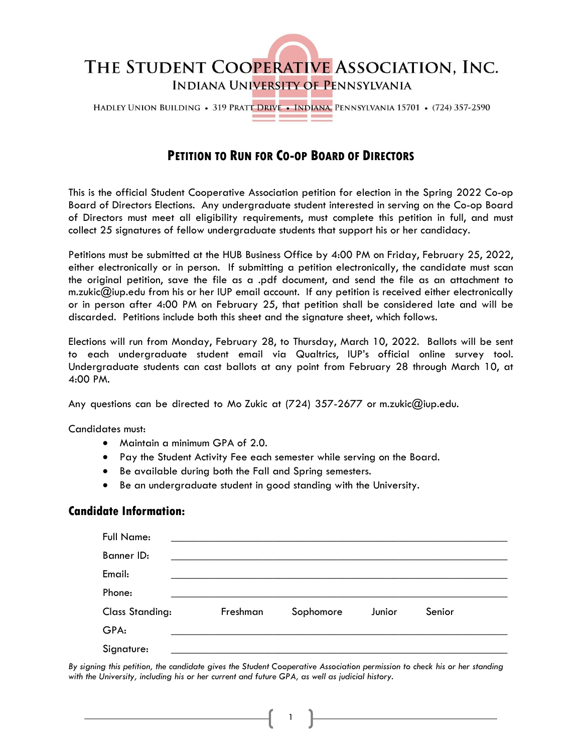

HADLEY UNION BUILDING • 319 PRATT DRIVE • INDIANA, PENNSYLVANIA 15701 • (724) 357-2590

## **PETITION TO RUN FOR CO-OP BOARD OF DIRECTORS**

This is the official Student Cooperative Association petition for election in the Spring 2022 Co-op Board of Directors Elections. Any undergraduate student interested in serving on the Co-op Board of Directors must meet all eligibility requirements, must complete this petition in full, and must collect 25 signatures of fellow undergraduate students that support his or her candidacy.

Petitions must be submitted at the HUB Business Office by 4:00 PM on Friday, February 25, 2022, either electronically or in person. If submitting a petition electronically, the candidate must scan the original petition, save the file as a .pdf document, and send the file as an attachment to m.zukic@iup.edu from his or her IUP email account. If any petition is received either electronically or in person after 4:00 PM on February 25, that petition shall be considered late and will be discarded. Petitions include both this sheet and the signature sheet, which follows.

Elections will run from Monday, February 28, to Thursday, March 10, 2022. Ballots will be sent to each undergraduate student email via Qualtrics, IUP's official online survey tool. Undergraduate students can cast ballots at any point from February 28 through March 10, at 4:00 PM.

Any questions can be directed to Mo Zukic at (724) 357-2677 or m.zukic@iup.edu.

Candidates must:

- Maintain a minimum GPA of 2.0.
- Pay the Student Activity Fee each semester while serving on the Board.
- Be available during both the Fall and Spring semesters.
- Be an undergraduate student in good standing with the University.

## **Candidate Information:**

| Full Name:             |          |           |        |        |
|------------------------|----------|-----------|--------|--------|
| Banner ID:             |          |           |        |        |
| Email:                 |          |           |        |        |
| Phone:                 |          |           |        |        |
| <b>Class Standing:</b> | Freshman | Sophomore | Junior | Senior |
| GPA:                   |          |           |        |        |
| Signature:             |          |           |        |        |

*By signing this petition, the candidate gives the Student Cooperative Association permission to check his or her standing with the University, including his or her current and future GPA, as well as judicial history.*

1